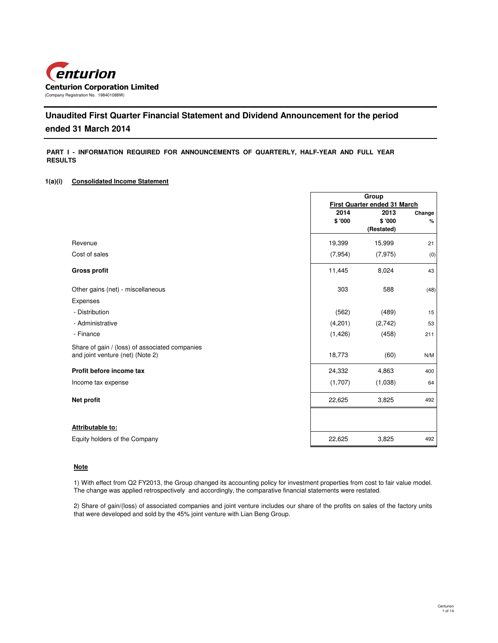

# **Unaudited First Quarter Financial Statement and Dividend Announcement for the period ended 31 March 2014**

## **PART I - INFORMATION REQUIRED FOR ANNOUNCEMENTS OF QUARTERLY, HALF-YEAR AND FULL YEAR RESULTS**

### **1(a)(i) Consolidated Income Statement**

|                                                | Group                        |            |        |
|------------------------------------------------|------------------------------|------------|--------|
|                                                | First Quarter ended 31 March |            |        |
|                                                | 2014                         | 2013       | Change |
|                                                | \$ '000                      | \$'000     | %      |
|                                                |                              | (Restated) |        |
| Revenue                                        | 19,399                       | 15,999     | 21     |
| Cost of sales                                  | (7, 954)                     | (7, 975)   | (0)    |
| <b>Gross profit</b>                            | 11,445                       | 8,024      | 43     |
| Other gains (net) - miscellaneous              | 303                          | 588        | (48)   |
| Expenses                                       |                              |            |        |
| - Distribution                                 | (562)                        | (489)      | 15     |
| - Administrative                               | (4,201)                      | (2,742)    | 53     |
| - Finance                                      | (1, 426)                     | (458)      | 211    |
| Share of gain / (loss) of associated companies |                              |            |        |
| and joint venture (net) (Note 2)               | 18,773                       | (60)       | N/M    |
| Profit before income tax                       | 24,332                       | 4,863      | 400    |
| Income tax expense                             | (1,707)                      | (1,038)    | 64     |
| Net profit                                     | 22,625                       | 3,825      | 492    |
|                                                |                              |            |        |
| Attributable to:                               |                              |            |        |
| Equity holders of the Company                  | 22,625                       | 3,825      | 492    |
|                                                |                              |            |        |

### **Note**

1) With effect from Q2 FY2013, the Group changed its accounting policy for investment properties from cost to fair value model. The change was applied retrospectively and accordingly, the comparative financial statements were restated.

2) Share of gain/(loss) of associated companies and joint venture includes our share of the profits on sales of the factory units that were developed and sold by the 45% joint venture with Lian Beng Group.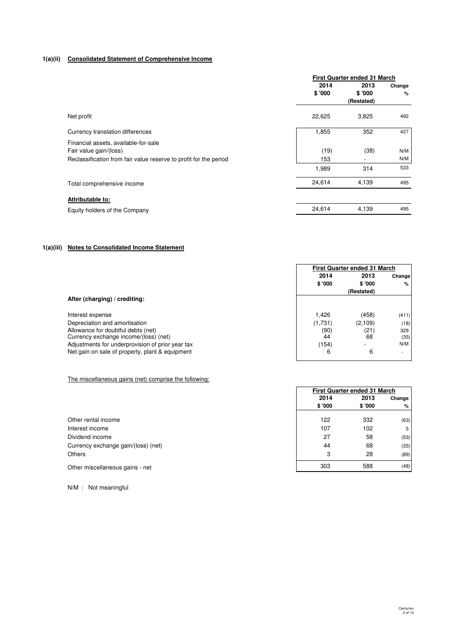# **1(a)(ii) Consolidated Statement of Comprehensive Income**

|                                                                   | First Quarter ended 31 March |            |        |  |
|-------------------------------------------------------------------|------------------------------|------------|--------|--|
|                                                                   | 2014<br>2013                 |            | Change |  |
|                                                                   | \$'000                       | \$'000     | %      |  |
|                                                                   |                              | (Restated) |        |  |
| Net profit                                                        | 22,625                       | 3,825      | 492    |  |
| Currency translation differences                                  | 1,855                        | 352        | 427    |  |
| Financial assets, available-for-sale                              |                              |            |        |  |
| Fair value gain/(loss)                                            | (19)                         | (38)       | N/M    |  |
| Reclassification from fair value reserve to profit for the period | 153                          |            | N/M    |  |
|                                                                   | 1,989                        | 314        | 533    |  |
| Total comprehensive income                                        | 24,614                       | 4,139      | 495    |  |
| Attributable to:                                                  |                              |            |        |  |
| Equity holders of the Company                                     | 24,614                       | 4,139      | 495    |  |

# **1(a)(iii) Notes to Consolidated Income Statement**

|                                                  |         | <b>First Quarter ended 31 March</b> |        |  |
|--------------------------------------------------|---------|-------------------------------------|--------|--|
|                                                  | 2014    | 2013                                | Change |  |
|                                                  | \$'000  | \$'000                              | %      |  |
|                                                  |         | (Restated)                          |        |  |
| After (charging) / crediting:                    |         |                                     |        |  |
|                                                  |         |                                     |        |  |
| Interest expense                                 | 1,426   | (458)                               | (411)  |  |
| Depreciation and amortisation                    | (1,731) | (2,109)                             | (18)   |  |
| Allowance for doubtful debts (net)               | (90)    |                                     | 329    |  |
| Currency exchange income/(loss) (net)            | 44      | (21)<br>68                          | (35)   |  |
| Adjustments for underprovision of prior year tax | (154)   | -                                   | N/M    |  |
| Net gain on sale of property, plant & equipment  | 6       | 6                                   |        |  |
|                                                  |         |                                     |        |  |

# The miscellaneous gains (net) comprise the following:

|                                     | 2014    | 2013    | Change |
|-------------------------------------|---------|---------|--------|
|                                     | \$ '000 | \$ '000 | %      |
| Other rental income                 | 122     | 332     | (63)   |
| Interest income                     | 107     | 102     | 5      |
| Dividend income                     | 27      | 58      | (53)   |
| Currency exchange gain/(loss) (net) | 44      | 68      | (35)   |
| <b>Others</b>                       | 3       | 28      | (89)   |
| Other miscellaneous gains - net     | 303     | 588     | (48)   |

N/M : Not meaningful

٦

**First Quarter ended 31 March**

Г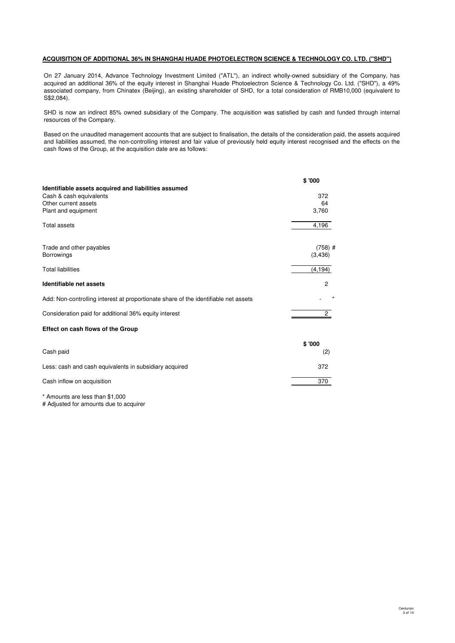# **ACQUISITION OF ADDITIONAL 36% IN SHANGHAI HUADE PHOTOELECTRON SCIENCE & TECHNOLOGY CO. LTD. ("SHD")**

On 27 January 2014, Advance Technology Investment Limited ("ATL"), an indirect wholly-owned subsidiary of the Company, has acquired an additional 36% of the equity interest in Shanghai Huade Photoelectron Science & Technology Co. Ltd. ("SHD"), a 49% associated company, from Chinatex (Beijing), an existing shareholder of SHD, for a total consideration of RMB10,000 (equivalent to S\$2,084).

SHD is now an indirect 85% owned subsidiary of the Company. The acquisition was satisfied by cash and funded through internal resources of the Company.

Based on the unaudited management accounts that are subject to finalisation, the details of the consideration paid, the assets acquired and liabilities assumed, the non-controlling interest and fair value of previously held equity interest recognised and the effects on the cash flows of the Group, at the acquisition date are as follows:

|                                                                                     | \$'000         |
|-------------------------------------------------------------------------------------|----------------|
| Identifiable assets acquired and liabilities assumed                                |                |
| Cash & cash equivalents                                                             | 372            |
| Other current assets                                                                | 64             |
| Plant and equipment                                                                 | 3,760          |
| <b>Total assets</b>                                                                 | 4,196          |
|                                                                                     |                |
| Trade and other payables                                                            | $(758)$ #      |
| <b>Borrowings</b>                                                                   | (3,436)        |
| <b>Total liabilities</b>                                                            | (4, 194)       |
| Identifiable net assets                                                             | $\overline{c}$ |
| Add: Non-controlling interest at proportionate share of the identifiable net assets |                |
| Consideration paid for additional 36% equity interest                               | $\overline{c}$ |
| Effect on cash flows of the Group                                                   |                |
|                                                                                     | \$'000         |
| Cash paid                                                                           | (2)            |
| Less: cash and cash equivalents in subsidiary acquired                              | 372            |
| Cash inflow on acquisition                                                          | 370            |
| * Amounts are less than \$1,000                                                     |                |

# Adjusted for amounts due to acquirer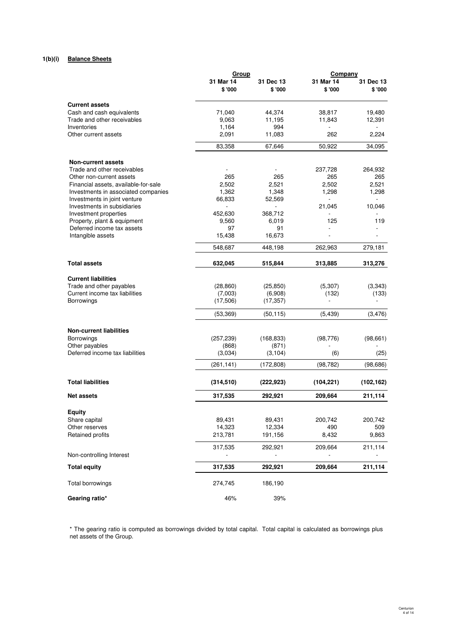# **1(b)(i) Balance Sheets**

|                                                           | Group               |                     | Company             |                     |
|-----------------------------------------------------------|---------------------|---------------------|---------------------|---------------------|
|                                                           | 31 Mar 14<br>\$'000 | 31 Dec 13<br>\$'000 | 31 Mar 14<br>\$'000 | 31 Dec 13<br>\$'000 |
| <b>Current assets</b>                                     |                     |                     |                     |                     |
| Cash and cash equivalents                                 | 71,040              | 44,374              | 38,817              | 19,480              |
| Trade and other receivables                               | 9,063               | 11,195              | 11,843              | 12,391              |
| Inventories                                               | 1,164               | 994                 |                     |                     |
| Other current assets                                      | 2,091               | 11,083              | 262                 | 2,224               |
|                                                           | 83,358              | 67,646              | 50,922              | 34,095              |
| Non-current assets                                        |                     |                     |                     |                     |
| Trade and other receivables                               |                     |                     | 237,728             | 264,932             |
| Other non-current assets                                  | 265                 | 265                 | 265                 | 265                 |
| Financial assets, available-for-sale                      | 2,502               | 2,521               | 2,502               | 2,521               |
| Investments in associated companies                       | 1,362               | 1,348               | 1,298               | 1,298               |
| Investments in joint venture                              | 66,833              | 52,569              |                     |                     |
| Investments in subsidiaries                               |                     |                     | 21,045              | 10,046              |
| Investment properties                                     | 452,630             | 368,712             |                     |                     |
| Property, plant & equipment<br>Deferred income tax assets | 9,560<br>97         | 6,019<br>91         | 125<br>÷            | 119                 |
| Intangible assets                                         | 15,438              | 16,673              |                     |                     |
|                                                           | 548,687             | 448,198             | 262,963             | 279,181             |
| <b>Total assets</b>                                       | 632,045             | 515,844             | 313,885             | 313,276             |
|                                                           |                     |                     |                     |                     |
| <b>Current liabilities</b>                                |                     |                     |                     |                     |
| Trade and other payables                                  | (28, 860)           | (25, 850)           | (5,307)             | (3,343)             |
| Current income tax liabilities                            | (7,003)             | (6,908)             | (132)               | (133)               |
| <b>Borrowings</b>                                         | (17,506)            | (17, 357)           | L,                  |                     |
|                                                           | (53, 369)           | (50, 115)           | (5, 439)            | (3, 476)            |
| <b>Non-current liabilities</b>                            |                     |                     |                     |                     |
| <b>Borrowings</b>                                         | (257, 239)          | (168, 833)          | (98, 776)           | (98, 661)           |
| Other payables                                            | (868)               | (871)               |                     |                     |
| Deferred income tax liabilities                           | (3,034)             | (3, 104)            | (6)                 | (25)                |
|                                                           | (261, 141)          | (172, 808)          | (98, 782)           | (98, 686)           |
| <b>Total liabilities</b>                                  | (314, 510)          | (222, 923)          | (104, 221)          | (102, 162)          |
| <b>Net assets</b>                                         | 317,535             | 292,921             | 209,664             | 211,114             |
| <b>Equity</b>                                             |                     |                     |                     |                     |
| Share capital                                             | 89,431              | 89,431              | 200,742             | 200,742             |
| Other reserves                                            | 14,323              | 12,334              | 490                 | 509                 |
| Retained profits                                          | 213,781             | 191,156             | 8,432               | 9,863               |
|                                                           | 317,535             | 292,921             | 209,664             | 211,114             |
| Non-controlling Interest                                  |                     |                     |                     |                     |
| <b>Total equity</b>                                       | 317,535             | 292,921             | 209,664             | 211,114             |
| Total borrowings                                          | 274,745             | 186,190             |                     |                     |
| Gearing ratio*                                            | 46%                 | 39%                 |                     |                     |

\* The gearing ratio is computed as borrowings divided by total capital. Total capital is calculated as borrowings plus net assets of the Group.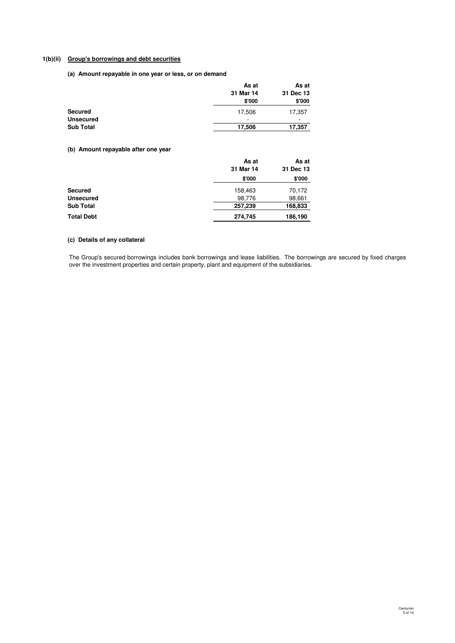# **1(b)(ii) Group's borrowings and debt securities**

**(a) Amount repayable in one year or less, or on demand**

|                  | As at     | As at<br>31 Dec 13 |  |
|------------------|-----------|--------------------|--|
|                  | 31 Mar 14 |                    |  |
|                  | \$'000    | \$'000             |  |
| <b>Secured</b>   | 17,506    | 17,357             |  |
| <b>Unsecured</b> | ۰         | -                  |  |
| <b>Sub Total</b> | 17,506    | 17,357             |  |

# **(b) Amount repayable after one year**

|                   | As at     | As at     |  |
|-------------------|-----------|-----------|--|
|                   | 31 Mar 14 | 31 Dec 13 |  |
|                   | \$'000    | \$'000    |  |
| <b>Secured</b>    | 158,463   | 70,172    |  |
| <b>Unsecured</b>  | 98,776    | 98,661    |  |
| <b>Sub Total</b>  | 257,239   | 168,833   |  |
| <b>Total Debt</b> | 274,745   | 186,190   |  |

# **(c) Details of any collateral**

The Group's secured borrowings includes bank borrowings and lease liabilities. The borrowings are secured by fixed charges over the investment properties and certain property, plant and equipment of the subsidiaries.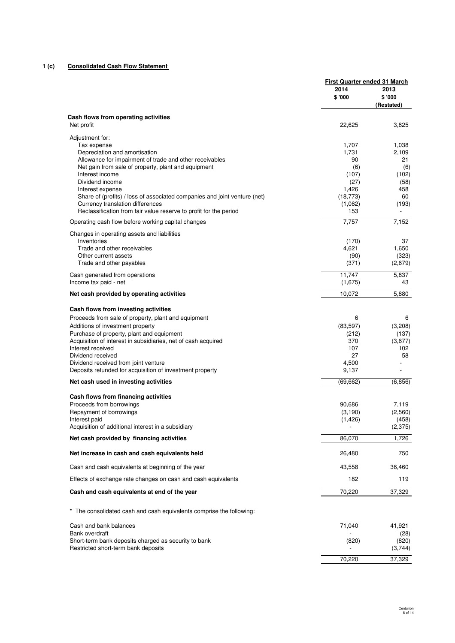# **1 (c) Consolidated Cash Flow Statement**

|                                                                                               | First Quarter ended 31 March |                              |
|-----------------------------------------------------------------------------------------------|------------------------------|------------------------------|
|                                                                                               | 2014<br>\$'000               | 2013<br>\$'000<br>(Restated) |
| Cash flows from operating activities                                                          |                              |                              |
| Net profit                                                                                    | 22,625                       | 3,825                        |
| Adjustment for:                                                                               |                              |                              |
| Tax expense                                                                                   | 1,707                        | 1,038                        |
| Depreciation and amortisation                                                                 | 1,731                        | 2,109                        |
| Allowance for impairment of trade and other receivables                                       | 90                           | 21                           |
| Net gain from sale of property, plant and equipment<br>Interest income                        | (6)                          | (6)                          |
| Dividend income                                                                               | (107)                        | (102)                        |
|                                                                                               | (27)                         | (58)<br>458                  |
| Interest expense<br>Share of (profits) / loss of associated companies and joint venture (net) | 1,426<br>(18, 773)           | 60                           |
| Currency translation differences                                                              | (1,062)                      | (193)                        |
| Reclassification from fair value reserve to profit for the period                             | 153                          |                              |
|                                                                                               |                              |                              |
| Operating cash flow before working capital changes                                            | 7,757                        | 7,152                        |
| Changes in operating assets and liabilities<br>Inventories                                    | (170)                        | 37                           |
| Trade and other receivables                                                                   | 4,621                        | 1,650                        |
| Other current assets                                                                          | (90)                         | (323)                        |
| Trade and other payables                                                                      | (371)                        | (2,679)                      |
|                                                                                               |                              |                              |
| Cash generated from operations<br>Income tax paid - net                                       | 11,747<br>(1,675)            | 5,837<br>43                  |
| Net cash provided by operating activities                                                     | 10,072                       | 5,880                        |
|                                                                                               |                              |                              |
| Cash flows from investing activities                                                          |                              |                              |
| Proceeds from sale of property, plant and equipment                                           | 6                            | 6                            |
| Additions of investment property                                                              | (83, 597)                    | (3,208)                      |
| Purchase of property, plant and equipment                                                     | (212)                        | (137)                        |
| Acquisition of interest in subsidiaries, net of cash acquired                                 | 370                          | (3,677)                      |
| Interest received<br>Dividend received                                                        | 107<br>27                    | 102<br>58                    |
| Dividend received from joint venture                                                          | 4,500                        |                              |
| Deposits refunded for acquisition of investment property                                      | 9,137                        |                              |
| Net cash used in investing activities                                                         | (69, 662)                    | (6, 856)                     |
|                                                                                               |                              |                              |
| Cash flows from financing activities<br>Proceeds from borrowings                              | 90,686                       | 7,119                        |
| Repayment of borrowings                                                                       | (3, 190)                     | (2,560)                      |
| Interest paid                                                                                 | (1, 426)                     | (458)                        |
| Acquisition of additional interest in a subsidiary                                            |                              | (2,375)                      |
| Net cash provided by financing activities                                                     | 86,070                       | 1,726                        |
| Net increase in cash and cash equivalents held                                                | 26,480                       | 750                          |
| Cash and cash equivalents at beginning of the year                                            | 43,558                       | 36,460                       |
| Effects of exchange rate changes on cash and cash equivalents                                 | 182                          | 119                          |
| Cash and cash equivalents at end of the year                                                  | 70,220                       | 37,329                       |
|                                                                                               |                              |                              |
| * The consolidated cash and cash equivalents comprise the following:                          |                              |                              |
| Cash and bank balances                                                                        | 71,040                       | 41,921                       |
| Bank overdraft                                                                                |                              | (28)                         |
| Short-term bank deposits charged as security to bank                                          | (820)                        | (820)                        |
| Restricted short-term bank deposits                                                           |                              | (3,744)                      |
|                                                                                               | 70,220                       | 37,329                       |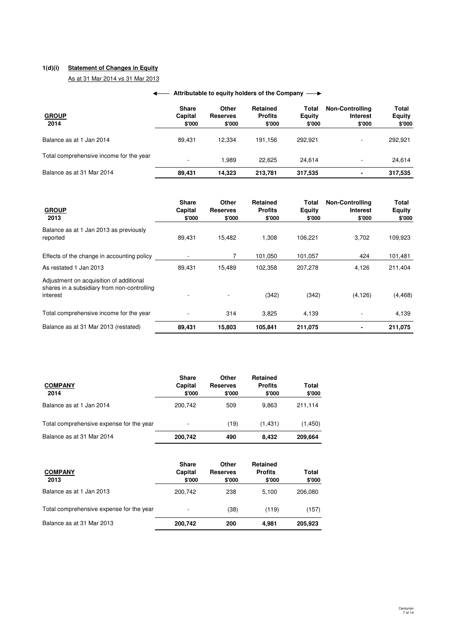# **1(d)(i) Statement of Changes in Equity**

As at 31 Mar 2014 vs 31 Mar 2013

# **← Attributable to equity holders of the Company**

| <b>GROUP</b><br>2014                    | <b>Share</b><br>Capital<br>\$'000 | Other<br><b>Reserves</b><br>\$'000 | Retained<br><b>Profits</b><br>\$'000 | Total<br><b>Equity</b><br>\$'000 | <b>Non-Controlling</b><br><b>Interest</b><br>\$'000 | Total<br><b>Equity</b><br>\$'000 |
|-----------------------------------------|-----------------------------------|------------------------------------|--------------------------------------|----------------------------------|-----------------------------------------------------|----------------------------------|
| Balance as at 1 Jan 2014                | 89.431                            | 12.334                             | 191.156                              | 292.921                          | ۰.                                                  | 292,921                          |
| Total comprehensive income for the year | -                                 | .989                               | 22.625                               | 24.614                           | ۰                                                   | 24,614                           |
| Balance as at 31 Mar 2014               | 89.431                            | 14.323                             | 213.781                              | 317,535                          | ٠                                                   | 317,535                          |

| <b>GROUP</b><br>2013                                                                               | <b>Share</b><br>Capital<br>\$'000 | Other<br><b>Reserves</b><br>\$'000 | Retained<br><b>Profits</b><br>\$'000 | Total<br><b>Equity</b><br>\$'000 | <b>Non-Controlling</b><br><b>Interest</b><br>\$'000 | Total<br><b>Equity</b><br>\$'000 |
|----------------------------------------------------------------------------------------------------|-----------------------------------|------------------------------------|--------------------------------------|----------------------------------|-----------------------------------------------------|----------------------------------|
| Balance as at 1 Jan 2013 as previously<br>reported                                                 | 89,431                            | 15,482                             | 1,308                                | 106,221                          | 3,702                                               | 109,923                          |
| Effects of the change in accounting policy                                                         |                                   |                                    | 101,050                              | 101,057                          | 424                                                 | 101,481                          |
| As restated 1 Jan 2013                                                                             | 89.431                            | 15,489                             | 102,358                              | 207,278                          | 4,126                                               | 211,404                          |
| Adjustment on acquisition of additional<br>shares in a subsidiary from non-controlling<br>interest |                                   |                                    | (342)                                | (342)                            | (4, 126)                                            | (4, 468)                         |
| Total comprehensive income for the year                                                            |                                   | 314                                | 3,825                                | 4,139                            |                                                     | 4,139                            |
| Balance as at 31 Mar 2013 (restated)                                                               | 89,431                            | 15,803                             | 105.841                              | 211,075                          |                                                     | 211,075                          |

| <b>COMPANY</b><br>2014                   | <b>Share</b><br>Capital<br>\$'000 | Other<br><b>Reserves</b><br>\$'000 | Retained<br><b>Profits</b><br>\$'000 | Total<br>\$'000 |
|------------------------------------------|-----------------------------------|------------------------------------|--------------------------------------|-----------------|
| Balance as at 1 Jan 2014                 | 200.742                           | 509                                | 9.863                                | 211,114         |
| Total comprehensive expense for the year |                                   | (19)                               | (1, 431)                             | (1,450)         |
| Balance as at 31 Mar 2014                | 200,742                           | 490                                | 8,432                                | 209,664         |

| <b>COMPANY</b><br>2013                   | <b>Share</b><br>Capital<br>\$'000 | Other<br><b>Reserves</b><br>\$'000 | <b>Retained</b><br><b>Profits</b><br>\$'000 | Total<br>\$'000 |
|------------------------------------------|-----------------------------------|------------------------------------|---------------------------------------------|-----------------|
| Balance as at 1 Jan 2013                 | 200.742                           | 238                                | 5.100                                       | 206.080         |
| Total comprehensive expense for the year |                                   | (38)                               | (119)                                       | (157)           |
| Balance as at 31 Mar 2013                | 200,742                           | 200                                | 4.981                                       | 205,923         |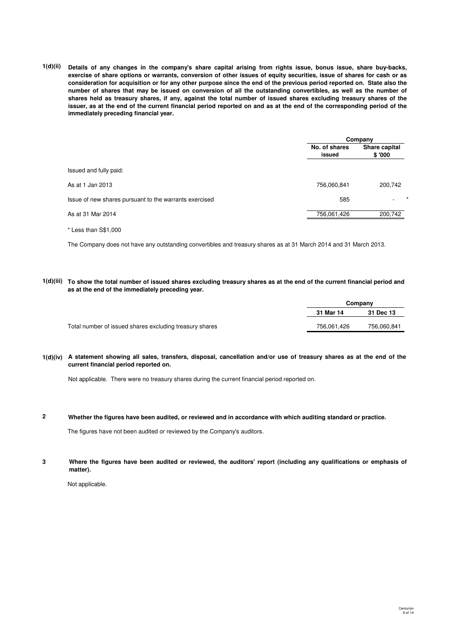**1(d)(ii) Details of any changes in the company's share capital arising from rights issue, bonus issue, share buy-backs, exercise of share options or warrants, conversion of other issues of equity securities, issue of shares for cash or as consideration for acquisition or for any other purpose since the end of the previous period reported on. State also the number of shares that may be issued on conversion of all the outstanding convertibles, as well as the number of shares held as treasury shares, if any, against the total number of issued shares excluding treasury shares of the issuer, as at the end of the current financial period reported on and as at the end of the corresponding period of the immediately preceding financial year.**

|                                                        |                         | Company                 |  |
|--------------------------------------------------------|-------------------------|-------------------------|--|
| Issued and fully paid:<br>As at 1 Jan 2013             | No. of shares<br>issued | Share capital<br>\$'000 |  |
|                                                        |                         |                         |  |
|                                                        | 756,060,841             | 200,742                 |  |
| Issue of new shares pursuant to the warrants exercised | 585                     |                         |  |
| As at 31 Mar 2014                                      | 756,061,426             | 200,742                 |  |

\* Less than S\$1,000

The Company does not have any outstanding convertibles and treasury shares as at 31 March 2014 and 31 March 2013.

**1(d)(iii) To show the total number of issued shares excluding treasury shares as at the end of the current financial period and as at the end of the immediately preceding year.**

|                                                         |             | Company     |
|---------------------------------------------------------|-------------|-------------|
|                                                         | 31 Mar 14   | 31 Dec 13   |
| Total number of issued shares excluding treasury shares | 756.061.426 | 756.060.841 |

**1(d)(iv) A statement showing all sales, transfers, disposal, cancellation and/or use of treasury shares as at the end of the current financial period reported on.**

Not applicable. There were no treasury shares during the current financial period reported on.

**2 Whether the figures have been audited, or reviewed and in accordance with which auditing standard or practice.**

The figures have not been audited or reviewed by the Company's auditors.

**3 Where the figures have been audited or reviewed, the auditors' report (including any qualifications or emphasis of matter).**

Not applicable.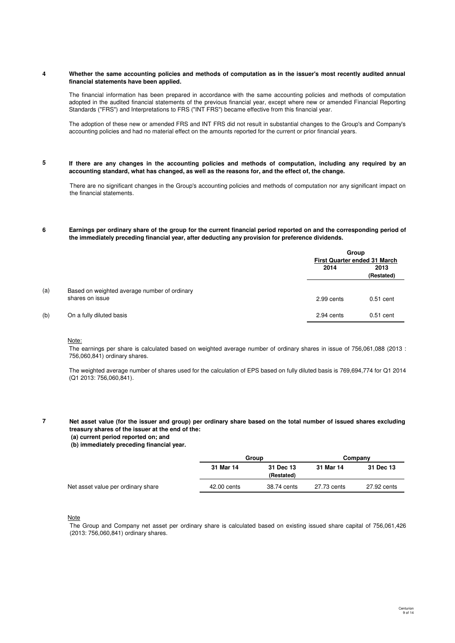#### **4 Whether the same accounting policies and methods of computation as in the issuer's most recently audited annual financial statements have been applied.**

The financial information has been prepared in accordance with the same accounting policies and methods of computation adopted in the audited financial statements of the previous financial year, except where new or amended Financial Reporting Standards ("FRS") and Interpretations to FRS ("INT FRS") became effective from this financial year.

The adoption of these new or amended FRS and INT FRS did not result in substantial changes to the Group's and Company's accounting policies and had no material effect on the amounts reported for the current or prior financial years.

**5 If there are any changes in the accounting policies and methods of computation, including any required by an accounting standard, what has changed, as well as the reasons for, and the effect of, the change.**

There are no significant changes in the Group's accounting policies and methods of computation nor any significant impact on the financial statements.

#### **6 Earnings per ordinary share of the group for the current financial period reported on and the corresponding period of the immediately preceding financial year, after deducting any provision for preference dividends.**

|     |                                                                 |            | Group<br><b>First Quarter ended 31 March</b> |  |
|-----|-----------------------------------------------------------------|------------|----------------------------------------------|--|
|     |                                                                 | 2014       | 2013<br>(Restated)                           |  |
| (a) | Based on weighted average number of ordinary<br>shares on issue | 2.99 cents | $0.51$ cent                                  |  |
| (b) | On a fully diluted basis                                        | 2.94 cents | $0.51$ cent                                  |  |

### Note:

The earnings per share is calculated based on weighted average number of ordinary shares in issue of 756,061,088 (2013 : 756,060,841) ordinary shares.

The weighted average number of shares used for the calculation of EPS based on fully diluted basis is 769,694,774 for Q1 2014 (Q1 2013: 756,060,841).

**7 Net asset value (for the issuer and group) per ordinary share based on the total number of issued shares excluding treasury shares of the issuer at the end of the:**

 **(a) current period reported on; and**

 **(b) immediately preceding financial year.**

|                                    |             | Group                   |             | Company     |  |
|------------------------------------|-------------|-------------------------|-------------|-------------|--|
|                                    | 31 Mar 14   | 31 Dec 13<br>(Restated) | 31 Mar 14   | 31 Dec 13   |  |
| Net asset value per ordinary share | 42,00 cents | 38.74 cents             | 27.73 cents | 27.92 cents |  |
|                                    |             |                         |             |             |  |

**Note** 

The Group and Company net asset per ordinary share is calculated based on existing issued share capital of 756,061,426 (2013: 756,060,841) ordinary shares.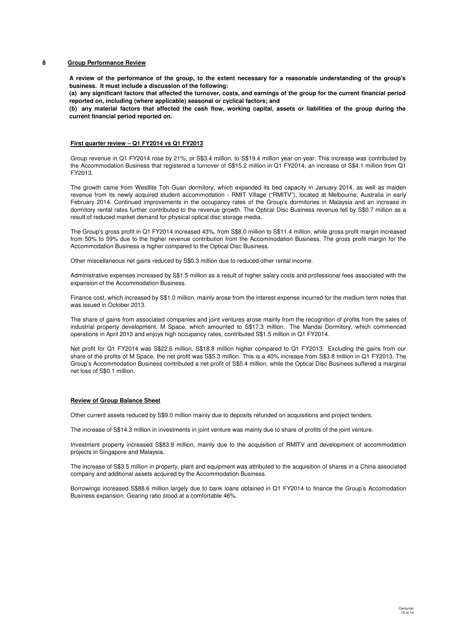## **8 Group Performance Review**

**A review of the performance of the group, to the extent necessary for a reasonable understanding of the group's business. It must include a discussion of the following:**

**(a) any significant factors that affected the turnover, costs, and earnings of the group for the current financial period reported on, including (where applicable) seasonal or cyclical factors; and**

**(b) any material factors that affected the cash flow, working capital, assets or liabilities of the group during the current financial period reported on.**

### **First quarter review – Q1 FY2014 vs Q1 FY2013**

Group revenue in Q1 FY2014 rose by 21%, or S\$3.4 million, to S\$19.4 million year-on-year. This increase was contributed by the Accommodation Business that registered a turnover of S\$15.2 million in Q1 FY2014, an increase of S\$4.1 million from Q1 FY2013.

The growth came from Westlite Toh Guan dormitory, which expanded its bed capacity in January 2014, as well as maiden revenue from its newly acquired student accommodation - RMIT Village ("RMITV"), located at Melbourne, Australia in early February 2014. Continued improvements in the occupancy rates of the Group's dormitories in Malaysia and an increase in dormitory rental rates further contributed to the revenue growth. The Optical Disc Business revenue fell by S\$0.7 million as a result of reduced market demand for physical optical disc storage media.

The Group's gross profit in Q1 FY2014 increased 43%, from S\$8.0 million to S\$11.4 million, while gross profit margin increased from 50% to 59% due to the higher revenue contribution from the Accommodation Business. The gross profit margin for the Accommodation Business is higher compared to the Optical Disc Business.

Other miscellaneous net gains reduced by S\$0.3 million due to reduced other rental income.

Administrative expenses increased by S\$1.5 million as a result of higher salary costs and professional fees associated with the expansion of the Accommodation Business.

Finance cost, which increased by S\$1.0 million, mainly arose from the interest expense incurred for the medium term notes that was issued in October 2013.

The share of gains from associated companies and joint ventures arose mainly from the recognition of profits from the sales of industrial property development, M Space, which amounted to S\$17.3 million. The Mandai Dormitory, which commenced operations in April 2013 and enjoys high occupancy rates, contributed S\$1.5 million in Q1 FY2014.

Net profit for Q1 FY2014 was S\$22.6 million, S\$18.8 million higher compared to Q1 FY2013. Excluding the gains from our share of the profits of M Space, the net profit was S\$5.3 million. This is a 40% increase from S\$3.8 million in Q1 FY2013. The Group's Accommodation Business contributed a net profit of S\$5.4 million, while the Optical Disc Business suffered a marginal net loss of S\$0.1 million.

### **Review of Group Balance Sheet**

Other current assets reduced by S\$9.0 million mainly due to deposits refunded on acquisitions and project tenders.

The increase of S\$14.3 million in investments in joint venture was mainly due to share of profits of the joint venture.

Investment property increased S\$83.9 million, mainly due to the acquisition of RMITV and development of accommodation projects in Singapore and Malaysia.

The increase of S\$3.5 million in property, plant and equipment was attributed to the acquisition of shares in a China associated company and additional assets acquired by the Accommodation Business.

Borrowings increased S\$88.6 million largely due to bank loans obtained in Q1 FY2014 to finance the Group's Accomodation Business expansion. Gearing ratio stood at a comfortable 46%.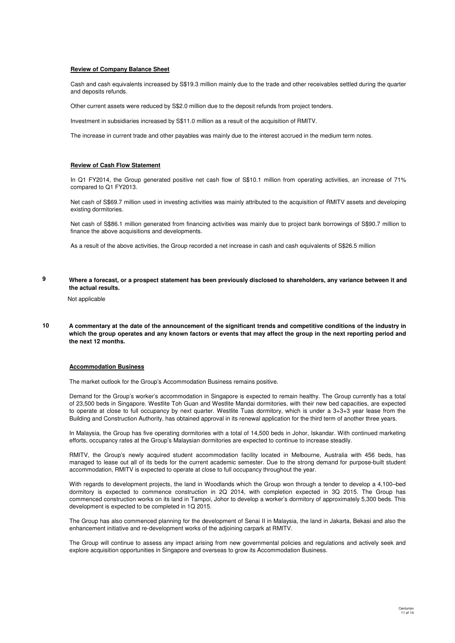### **Review of Company Balance Sheet**

Cash and cash equivalents increased by S\$19.3 million mainly due to the trade and other receivables settled during the quarter and deposits refunds.

Other current assets were reduced by S\$2.0 million due to the deposit refunds from project tenders.

Investment in subsidiaries increased by S\$11.0 million as a result of the acquisition of RMITV.

The increase in current trade and other payables was mainly due to the interest accrued in the medium term notes.

# **Review of Cash Flow Statement**

In Q1 FY2014, the Group generated positive net cash flow of S\$10.1 million from operating activities, an increase of 71% compared to Q1 FY2013.

Net cash of S\$69.7 million used in investing activities was mainly attributed to the acquisition of RMITV assets and developing existing dormitories.

Net cash of S\$86.1 million generated from financing activities was mainly due to project bank borrowings of S\$90.7 million to finance the above acquisitions and developments.

As a result of the above activities, the Group recorded a net increase in cash and cash equivalents of S\$26.5 million

**9 Where a forecast, or a prospect statement has been previously disclosed to shareholders, any variance between it and the actual results.**

Not applicable

**10 A commentary at the date of the announcement of the significant trends and competitive conditions of the industry in which the group operates and any known factors or events that may affect the group in the next reporting period and the next 12 months.**

## **Accommodation Business**

The market outlook for the Group's Accommodation Business remains positive.

Demand for the Group's worker's accommodation in Singapore is expected to remain healthy. The Group currently has a total of 23,500 beds in Singapore. Westlite Toh Guan and Westlite Mandai dormitories, with their new bed capacities, are expected to operate at close to full occupancy by next quarter. Westlite Tuas dormitory, which is under a 3+3+3 year lease from the Building and Construction Authority, has obtained approval in its renewal application for the third term of another three years.

In Malaysia, the Group has five operating dormitories with a total of 14,500 beds in Johor, Iskandar. With continued marketing efforts, occupancy rates at the Group's Malaysian dormitories are expected to continue to increase steadily.

RMITV, the Group's newly acquired student accommodation facility located in Melbourne, Australia with 456 beds, has managed to lease out all of its beds for the current academic semester. Due to the strong demand for purpose-built student accommodation, RMITV is expected to operate at close to full occupancy throughout the year.

With regards to development projects, the land in Woodlands which the Group won through a tender to develop a 4,100–bed dormitory is expected to commence construction in 2Q 2014, with completion expected in 3Q 2015. The Group has commenced construction works on its land in Tampoi, Johor to develop a worker's dormitory of approximately 5,300 beds. This development is expected to be completed in 1Q 2015.

The Group has also commenced planning for the development of Senai II in Malaysia, the land in Jakarta, Bekasi and also the enhancement initiative and re-development works of the adjoining carpark at RMITV.

The Group will continue to assess any impact arising from new governmental policies and regulations and actively seek and explore acquisition opportunities in Singapore and overseas to grow its Accommodation Business.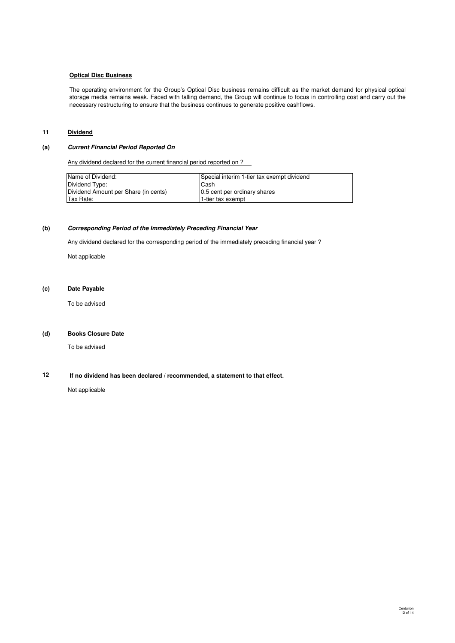### **Optical Disc Business**

The operating environment for the Group's Optical Disc business remains difficult as the market demand for physical optical storage media remains weak. Faced with falling demand, the Group will continue to focus in controlling cost and carry out the necessary restructuring to ensure that the business continues to generate positive cashflows.

# **11 Dividend**

## **(a) Current Financial Period Reported On**

Any dividend declared for the current financial period reported on ?

| Name of Dividend:                    | Special interim 1-tier tax exempt dividend |
|--------------------------------------|--------------------------------------------|
| Dividend Type:                       | lCash                                      |
| Dividend Amount per Share (in cents) | 0.5 cent per ordinary shares               |
| <b>Tax Rate:</b>                     | 1-tier tax exempt                          |

# **(b) Corresponding Period of the Immediately Preceding Financial Year**

Any dividend declared for the corresponding period of the immediately preceding financial year ?

Not applicable

# **(c) Date Payable**

To be advised

# **(d) Books Closure Date**

To be advised

#### **12 If no dividend has been declared / recommended, a statement to that effect.**

Not applicable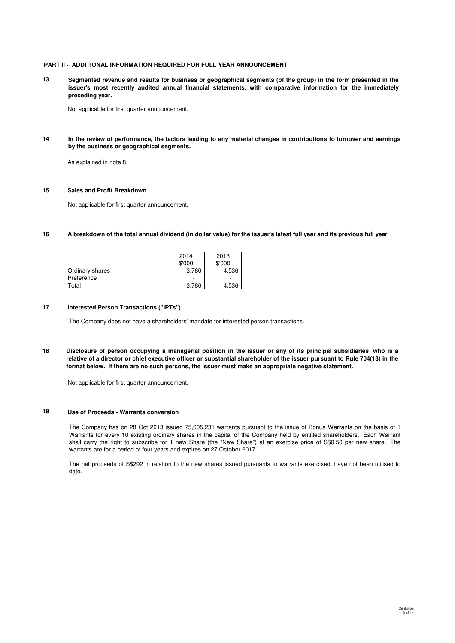## **PART II - ADDITIONAL INFORMATION REQUIRED FOR FULL YEAR ANNOUNCEMENT**

**13 Segmented revenue and results for business or geographical segments (of the group) in the form presented in the issuer's most recently audited annual financial statements, with comparative information for the immediately preceding year.**

Not applicable for first quarter announcement.

**14 In the review of performance, the factors leading to any material changes in contributions to turnover and earnings by the business or geographical segments.**

As explained in note 8

## **15 Sales and Profit Breakdown**

Not applicable for first quarter announcement.

**16 A breakdown of the total annual dividend (in dollar value) for the issuer's latest full year and its previous full year**

|                 | 2014   | 2013   |
|-----------------|--------|--------|
|                 | \$'000 | \$'000 |
| Ordinary shares | 3,780  | 4,536  |
| Preference      |        |        |
| Total           | 3.780  | 4,536  |

## **17 Interested Person Transactions ("IPTs")**

The Company does not have a shareholders' mandate for interested person transactions.

**18 Disclosure of person occupying a managerial position in the issuer or any of its principal subsidiaries who is a relative of a director or chief executive officer or substantial shareholder of the issuer pursuant to Rule 704(13) in the format below. If there are no such persons, the issuer must make an appropriate negative statement.**

Not applicable for first quarter announcement.

### **19 Use of Proceeds - Warrants conversion**

The Company has on 28 Oct 2013 issued 75,605,231 warrants pursuant to the issue of Bonus Warrants on the basis of 1 Warrants for every 10 existing ordinary shares in the capital of the Company held by entitled shareholders. Each Warrant shall carry the right to subscribe for 1 new Share (the "New Share") at an exercise price of S\$0.50 per new share. The warrants are for a period of four years and expires on 27 October 2017.

The net proceeds of S\$292 in relation to the new shares issued pursuants to warrants exercised, have not been utilised to date.